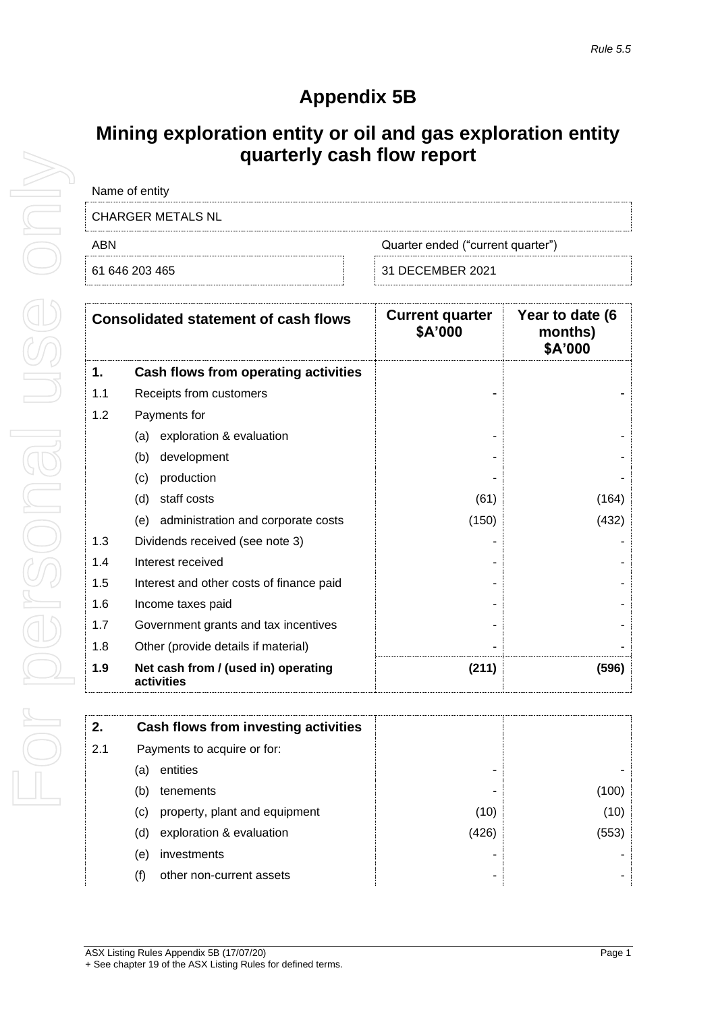## **Appendix 5B**

## **Mining exploration entity or oil and gas exploration entity quarterly cash flow report**

| Name of entity    |                                   |
|-------------------|-----------------------------------|
| CHARGER METALS NL |                                   |
| ABN               | Quarter ended ("current quarter") |
| 61 646 203 465    | 31 DECEMBER 2021                  |

| <b>Consolidated statement of cash flows</b> |                                                   | <b>Current quarter</b><br>\$A'000 | Year to date (6<br>months)<br>\$A'000 |
|---------------------------------------------|---------------------------------------------------|-----------------------------------|---------------------------------------|
| 1.                                          | Cash flows from operating activities              |                                   |                                       |
| 1.1                                         | Receipts from customers                           |                                   |                                       |
| 1.2                                         | Payments for                                      |                                   |                                       |
|                                             | exploration & evaluation<br>(a)                   |                                   |                                       |
|                                             | development<br>(b)                                |                                   |                                       |
|                                             | production<br>(c)                                 |                                   |                                       |
|                                             | staff costs<br>(d)                                | (61)                              | (164)                                 |
|                                             | administration and corporate costs<br>(e)         | (150)                             | (432)                                 |
| 1.3                                         | Dividends received (see note 3)                   |                                   |                                       |
| 1.4                                         | Interest received                                 |                                   |                                       |
| 1.5                                         | Interest and other costs of finance paid          |                                   |                                       |
| 1.6                                         | Income taxes paid                                 |                                   |                                       |
| 1.7                                         | Government grants and tax incentives              |                                   |                                       |
| 1.8                                         | Other (provide details if material)               |                                   |                                       |
| 1.9                                         | Net cash from / (used in) operating<br>activities | (211)                             | (596)                                 |

| 2.  | Cash flows from investing activities |       |       |
|-----|--------------------------------------|-------|-------|
| 2.1 | Payments to acquire or for:          |       |       |
|     | entities<br>(a)                      |       |       |
|     | (b)<br>tenements                     |       | (100) |
|     | property, plant and equipment<br>(C) | (10)  | (10)  |
|     | exploration & evaluation<br>(d)      | (426) | (553) |
|     | investments<br>(e)                   |       |       |
|     | other non-current assets<br>(f)      | -     |       |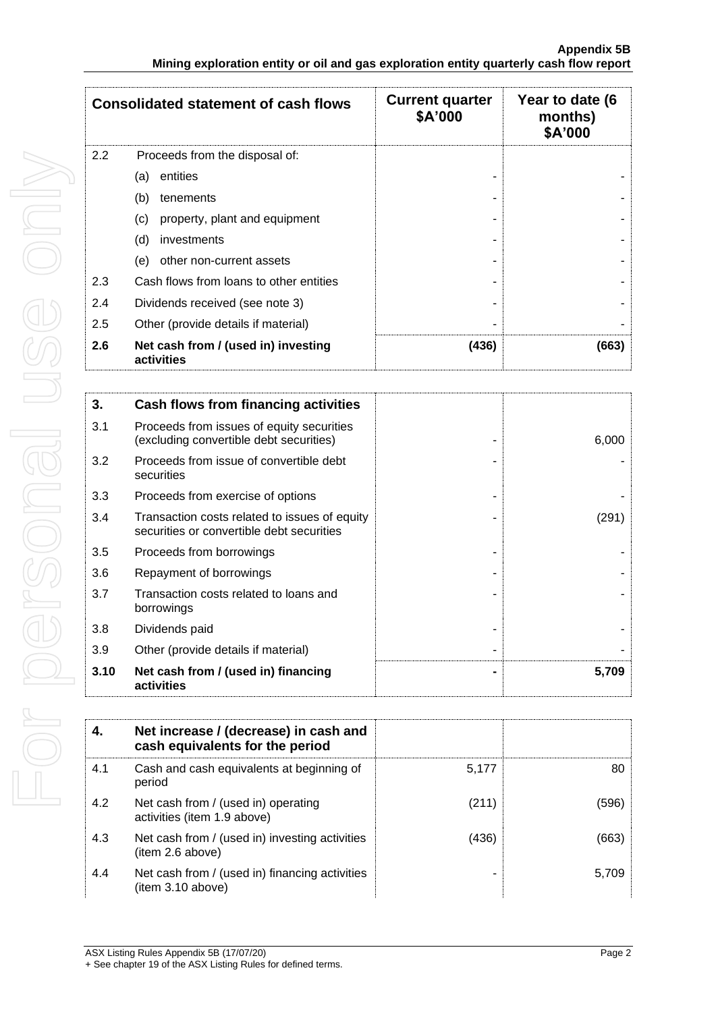|                                       | <b>Consolidated statement of cash flows</b>       | <b>Current quarter</b><br>\$A'000 | Year to date (6<br>months)<br>\$A'000 |
|---------------------------------------|---------------------------------------------------|-----------------------------------|---------------------------------------|
| 2.2<br>Proceeds from the disposal of: |                                                   |                                   |                                       |
|                                       | entities<br>(a)                                   |                                   |                                       |
|                                       | (b)<br>tenements                                  |                                   |                                       |
|                                       | (c)<br>property, plant and equipment              |                                   |                                       |
|                                       | (d)<br>investments                                |                                   |                                       |
|                                       | other non-current assets<br>(e)                   |                                   |                                       |
| 2.3                                   | Cash flows from loans to other entities           |                                   |                                       |
| 2.4                                   | Dividends received (see note 3)                   |                                   |                                       |
| 2.5                                   | Other (provide details if material)               |                                   |                                       |
| 2.6                                   | Net cash from / (used in) investing<br>activities | (436)                             | (663)                                 |

| 3.   | Cash flows from financing activities                                                       |       |
|------|--------------------------------------------------------------------------------------------|-------|
| 3.1  | Proceeds from issues of equity securities<br>(excluding convertible debt securities)       | 6,000 |
| 3.2  | Proceeds from issue of convertible debt<br>securities                                      |       |
| 3.3  | Proceeds from exercise of options                                                          |       |
| 3.4  | Transaction costs related to issues of equity<br>securities or convertible debt securities | (291) |
| 3.5  | Proceeds from borrowings                                                                   |       |
| 3.6  | Repayment of borrowings                                                                    |       |
| 3.7  | Transaction costs related to loans and<br>borrowings                                       |       |
| 3.8  | Dividends paid                                                                             |       |
| 3.9  | Other (provide details if material)                                                        |       |
| 3.10 | Net cash from / (used in) financing<br>activities                                          | 5,709 |

| 4.  | Net increase / (decrease) in cash and<br>cash equivalents for the period |       |       |
|-----|--------------------------------------------------------------------------|-------|-------|
| 4.1 | Cash and cash equivalents at beginning of<br>period                      | 5.177 | 80    |
| 4.2 | Net cash from / (used in) operating<br>activities (item 1.9 above)       | (211) | (596) |
| 4.3 | Net cash from / (used in) investing activities<br>(item 2.6 above)       | (436) | (663) |
| 4.4 | Net cash from / (used in) financing activities<br>(item 3.10 above)      |       | 5.709 |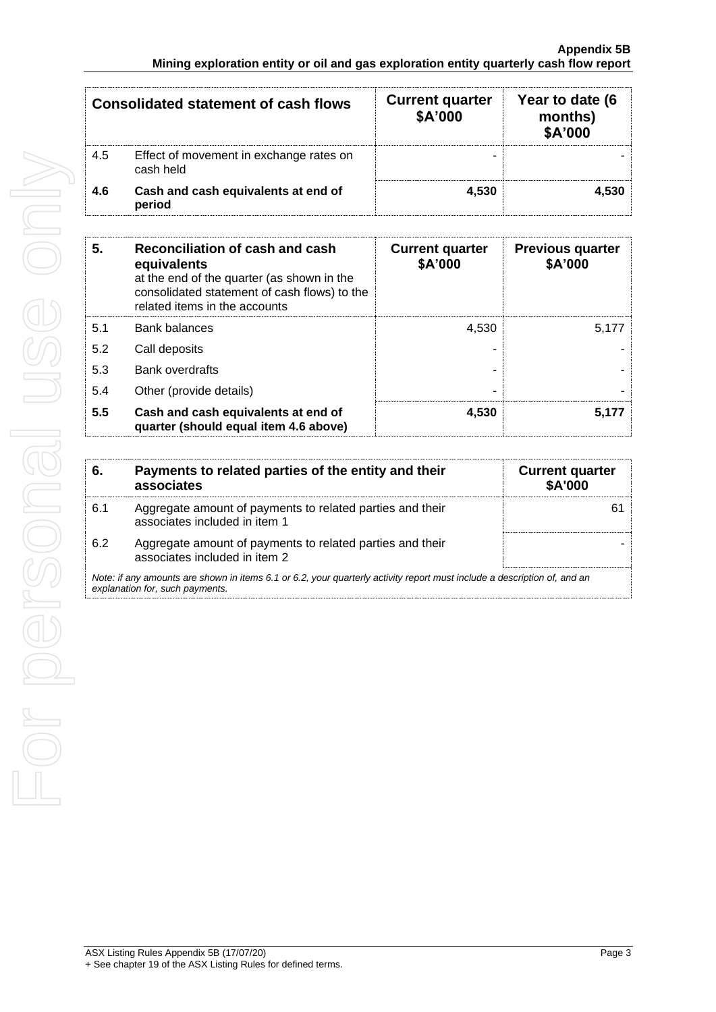| <b>Consolidated statement of cash flows</b> |                                                      | <b>Current quarter</b><br>\$A'000 | Year to date (6<br>months)<br>\$A'000 |
|---------------------------------------------|------------------------------------------------------|-----------------------------------|---------------------------------------|
| 4.5                                         | Effect of movement in exchange rates on<br>cash held | -                                 |                                       |
| 4.6                                         | Cash and cash equivalents at end of<br>period        | 4.530                             | 4.530                                 |

| 5.  | Reconciliation of cash and cash<br>equivalents<br>at the end of the quarter (as shown in the<br>consolidated statement of cash flows) to the<br>related items in the accounts | <b>Current quarter</b><br>\$A'000 | <b>Previous quarter</b><br>\$A'000 |
|-----|-------------------------------------------------------------------------------------------------------------------------------------------------------------------------------|-----------------------------------|------------------------------------|
| 5.1 | Bank balances                                                                                                                                                                 | 4.530                             | 5.177                              |
| 5.2 | Call deposits                                                                                                                                                                 |                                   |                                    |
| 5.3 | Bank overdrafts                                                                                                                                                               |                                   |                                    |
| 5.4 | Other (provide details)                                                                                                                                                       |                                   |                                    |
| 5.5 | Cash and cash equivalents at end of<br>quarter (should equal item 4.6 above)                                                                                                  | 4,530                             | 5,177                              |

| 6.                                                                                                                                                          | Payments to related parties of the entity and their<br>associates                          | <b>Current quarter</b><br><b>\$A'000</b> |
|-------------------------------------------------------------------------------------------------------------------------------------------------------------|--------------------------------------------------------------------------------------------|------------------------------------------|
| 6.1                                                                                                                                                         | Aggregate amount of payments to related parties and their<br>associates included in item 1 | 6                                        |
| 6.2                                                                                                                                                         | Aggregate amount of payments to related parties and their<br>associates included in item 2 |                                          |
| Note: if any amounts are shown in items 6.1 or 6.2, your quarterly activity report must include a description of, and an<br>explanation for, such payments. |                                                                                            |                                          |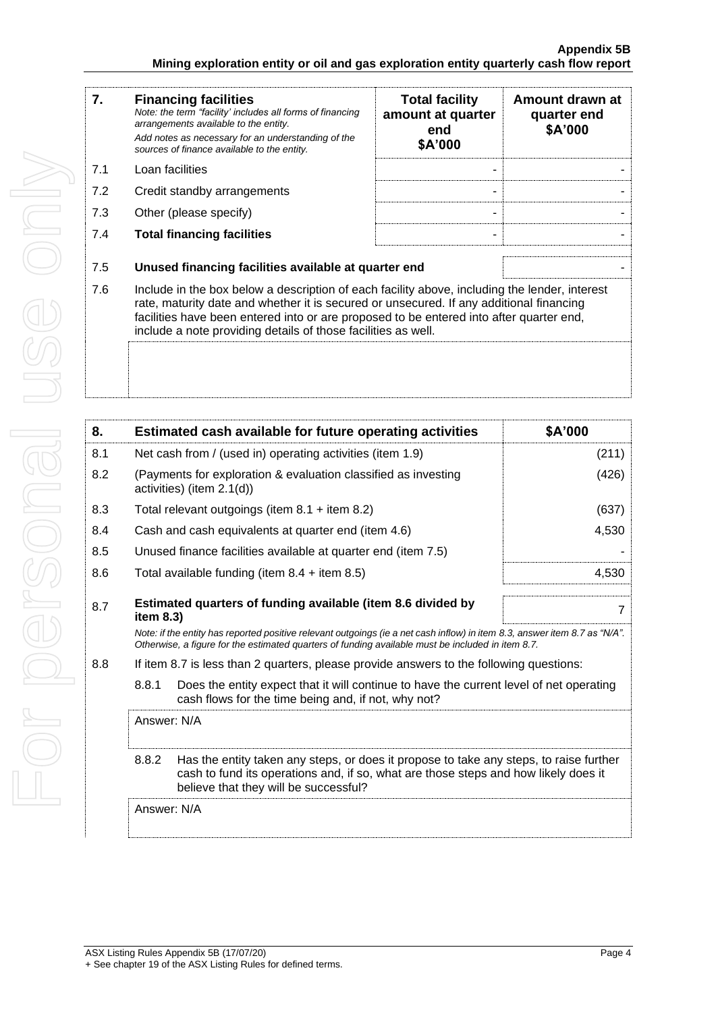| 7.  | <b>Financing facilities</b><br>Note: the term "facility' includes all forms of financing<br>arrangements available to the entity.<br>Add notes as necessary for an understanding of the<br>sources of finance available to the entity.                                                                                                               | <b>Total facility</b><br>amount at quarter<br>end<br>\$A'000 | Amount drawn at<br>quarter end<br>\$A'000 |
|-----|------------------------------------------------------------------------------------------------------------------------------------------------------------------------------------------------------------------------------------------------------------------------------------------------------------------------------------------------------|--------------------------------------------------------------|-------------------------------------------|
| 7.1 | Loan facilities                                                                                                                                                                                                                                                                                                                                      |                                                              |                                           |
| 7.2 | Credit standby arrangements                                                                                                                                                                                                                                                                                                                          |                                                              |                                           |
| 7.3 | Other (please specify)                                                                                                                                                                                                                                                                                                                               |                                                              |                                           |
| 7.4 | <b>Total financing facilities</b>                                                                                                                                                                                                                                                                                                                    |                                                              |                                           |
|     |                                                                                                                                                                                                                                                                                                                                                      |                                                              |                                           |
| 7.5 | Unused financing facilities available at quarter end                                                                                                                                                                                                                                                                                                 |                                                              |                                           |
| 7.6 | Include in the box below a description of each facility above, including the lender, interest<br>rate, maturity date and whether it is secured or unsecured. If any additional financing<br>facilities have been entered into or are proposed to be entered into after quarter end,<br>include a note providing details of those facilities as well. |                                                              |                                           |
|     |                                                                                                                                                                                                                                                                                                                                                      |                                                              |                                           |

| 8.                                                                                                                                                                                                                                             |                                                                           | Estimated cash available for future operating activities                                                                                                                                                                        | \$A'000 |  |
|------------------------------------------------------------------------------------------------------------------------------------------------------------------------------------------------------------------------------------------------|---------------------------------------------------------------------------|---------------------------------------------------------------------------------------------------------------------------------------------------------------------------------------------------------------------------------|---------|--|
| 8.1                                                                                                                                                                                                                                            |                                                                           | Net cash from / (used in) operating activities (item 1.9)                                                                                                                                                                       | (211)   |  |
| 8.2                                                                                                                                                                                                                                            |                                                                           | (Payments for exploration & evaluation classified as investing<br>activities) (item $2.1(d)$ )                                                                                                                                  | (426)   |  |
| 8.3                                                                                                                                                                                                                                            |                                                                           | Total relevant outgoings (item $8.1 +$ item $8.2$ )                                                                                                                                                                             | (637)   |  |
| 8.4                                                                                                                                                                                                                                            |                                                                           | Cash and cash equivalents at quarter end (item 4.6)                                                                                                                                                                             | 4,530   |  |
| 8.5                                                                                                                                                                                                                                            |                                                                           | Unused finance facilities available at quarter end (item 7.5)                                                                                                                                                                   |         |  |
| 8.6                                                                                                                                                                                                                                            |                                                                           | Total available funding (item $8.4 +$ item $8.5$ )                                                                                                                                                                              | 4,530   |  |
| 8.7                                                                                                                                                                                                                                            | Estimated quarters of funding available (item 8.6 divided by<br>item 8.3) |                                                                                                                                                                                                                                 | 7       |  |
|                                                                                                                                                                                                                                                |                                                                           | Note: if the entity has reported positive relevant outgoings (ie a net cash inflow) in item 8.3, answer item 8.7 as "N/A".<br>Otherwise, a figure for the estimated quarters of funding available must be included in item 8.7. |         |  |
| 8.8                                                                                                                                                                                                                                            |                                                                           | If item 8.7 is less than 2 quarters, please provide answers to the following questions:                                                                                                                                         |         |  |
|                                                                                                                                                                                                                                                | 8.8.1                                                                     | Does the entity expect that it will continue to have the current level of net operating<br>cash flows for the time being and, if not, why not?                                                                                  |         |  |
| Answer: N/A<br>8.8.2<br>Has the entity taken any steps, or does it propose to take any steps, to raise further<br>cash to fund its operations and, if so, what are those steps and how likely does it<br>believe that they will be successful? |                                                                           |                                                                                                                                                                                                                                 |         |  |
|                                                                                                                                                                                                                                                |                                                                           |                                                                                                                                                                                                                                 |         |  |
|                                                                                                                                                                                                                                                | Answer: N/A                                                               |                                                                                                                                                                                                                                 |         |  |